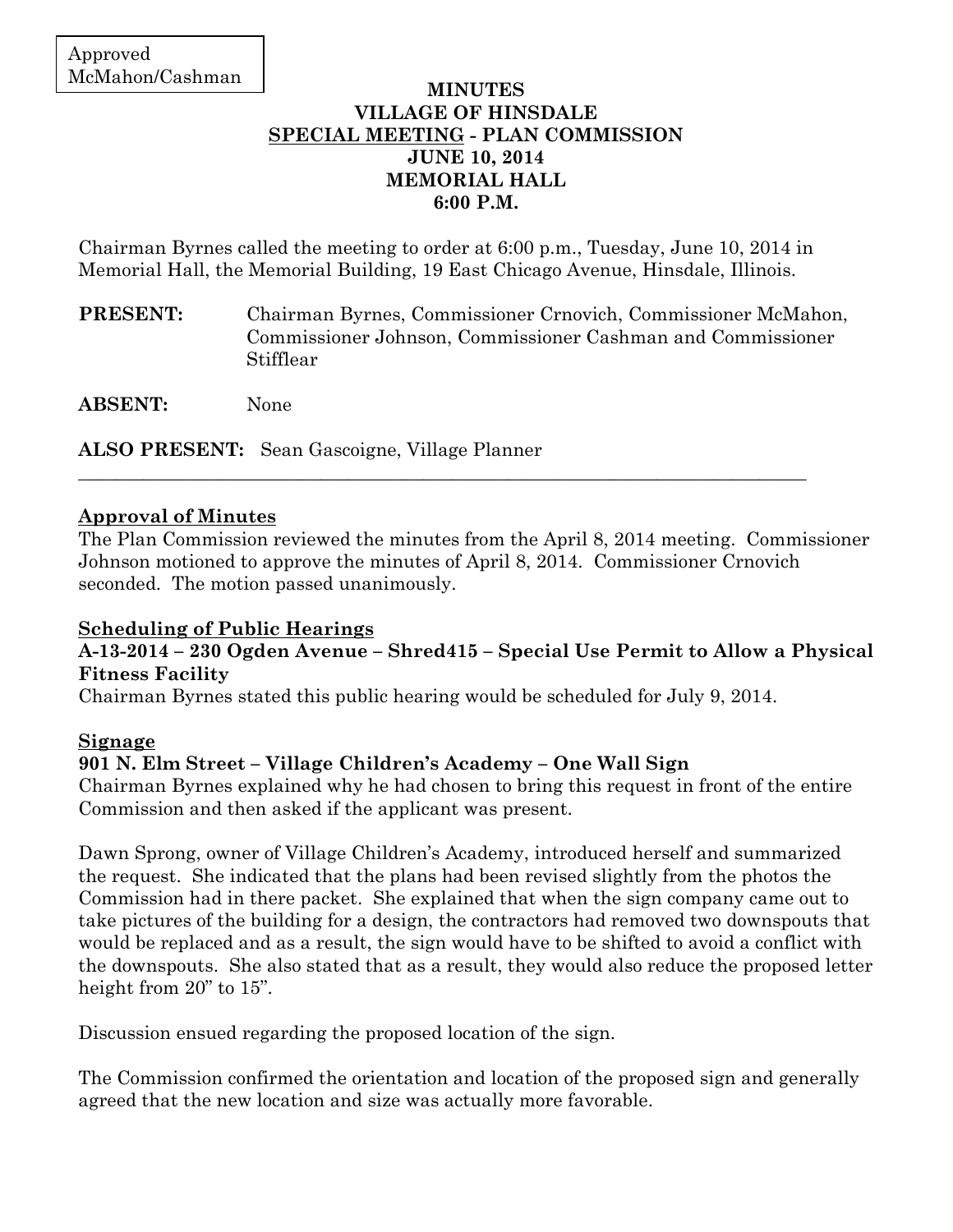### **MINUTES VILLAGE OF HINSDALE SPECIAL MEETING - PLAN COMMISSION JUNE 10, 2014 MEMORIAL HALL 6:00 P.M.**

Chairman Byrnes called the meeting to order at 6:00 p.m., Tuesday, June 10, 2014 in Memorial Hall, the Memorial Building, 19 East Chicago Avenue, Hinsdale, Illinois.

\_\_\_\_\_\_\_\_\_\_\_\_\_\_\_\_\_\_\_\_\_\_\_\_\_\_\_\_\_\_\_\_\_\_\_\_\_\_\_\_\_\_\_\_\_\_\_\_\_\_\_\_\_\_\_\_\_\_\_\_\_\_\_\_\_\_\_\_\_\_\_\_\_\_\_\_\_\_

- **PRESENT:** Chairman Byrnes, Commissioner Crnovich, Commissioner McMahon, Commissioner Johnson, Commissioner Cashman and Commissioner Stifflear
- **ABSENT:** None

**ALSO PRESENT:** Sean Gascoigne, Village Planner

### **Approval of Minutes**

The Plan Commission reviewed the minutes from the April 8, 2014 meeting. Commissioner Johnson motioned to approve the minutes of April 8, 2014. Commissioner Crnovich seconded. The motion passed unanimously.

# **Scheduling of Public Hearings**

### **A-13-2014 – 230 Ogden Avenue – Shred415 – Special Use Permit to Allow a Physical Fitness Facility**

Chairman Byrnes stated this public hearing would be scheduled for July 9, 2014.

### **Signage**

# **901 N. Elm Street – Village Children's Academy – One Wall Sign**

Chairman Byrnes explained why he had chosen to bring this request in front of the entire Commission and then asked if the applicant was present.

Dawn Sprong, owner of Village Children's Academy, introduced herself and summarized the request. She indicated that the plans had been revised slightly from the photos the Commission had in there packet. She explained that when the sign company came out to take pictures of the building for a design, the contractors had removed two downspouts that would be replaced and as a result, the sign would have to be shifted to avoid a conflict with the downspouts. She also stated that as a result, they would also reduce the proposed letter height from 20" to 15".

Discussion ensued regarding the proposed location of the sign.

The Commission confirmed the orientation and location of the proposed sign and generally agreed that the new location and size was actually more favorable.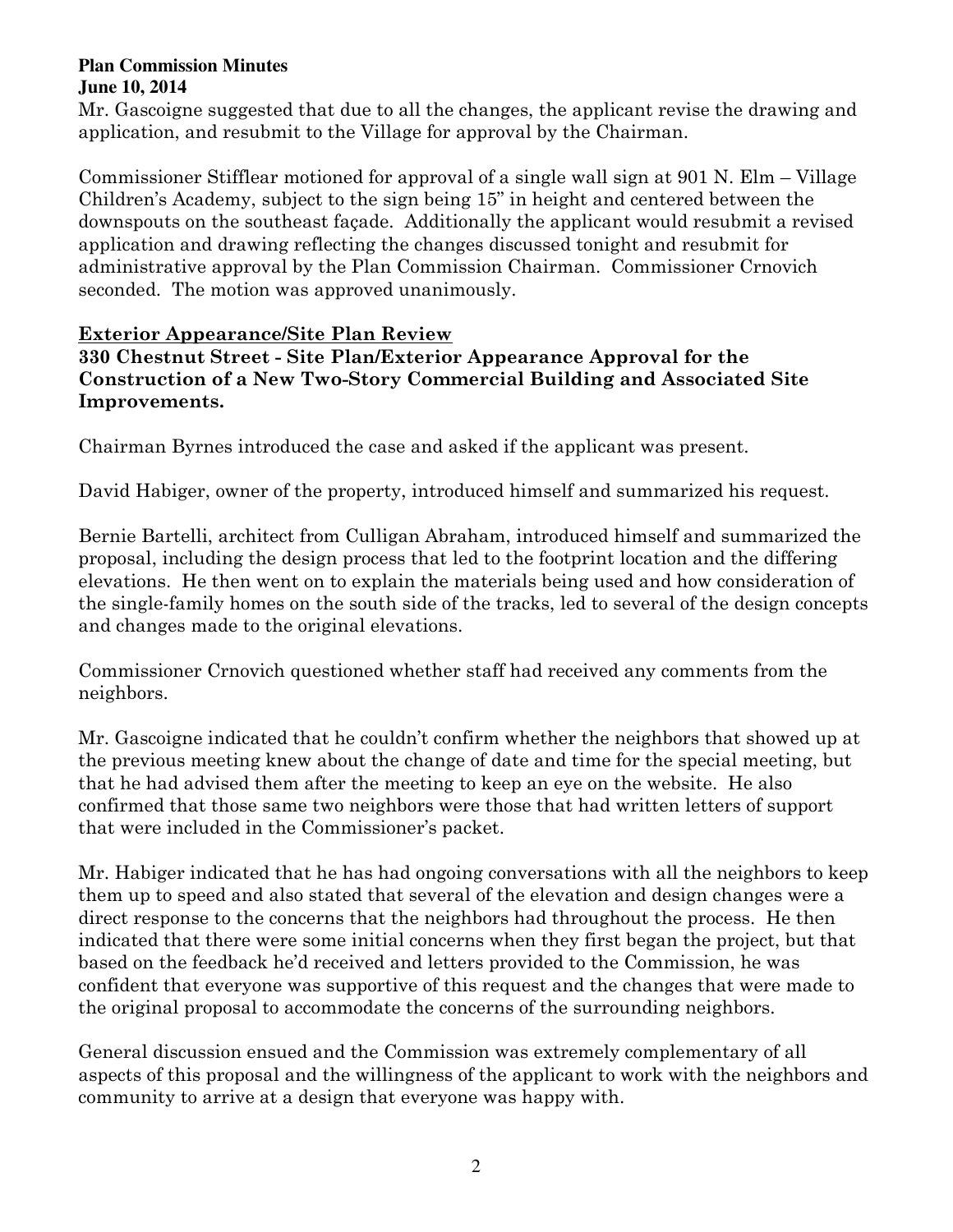#### **Plan Commission Minutes June 10, 2014**

Mr. Gascoigne suggested that due to all the changes, the applicant revise the drawing and application, and resubmit to the Village for approval by the Chairman.

Commissioner Stifflear motioned for approval of a single wall sign at 901 N. Elm – Village Children's Academy, subject to the sign being 15" in height and centered between the downspouts on the southeast façade. Additionally the applicant would resubmit a revised application and drawing reflecting the changes discussed tonight and resubmit for administrative approval by the Plan Commission Chairman. Commissioner Crnovich seconded. The motion was approved unanimously.

# **Exterior Appearance/Site Plan Review**

**330 Chestnut Street - Site Plan/Exterior Appearance Approval for the Construction of a New Two-Story Commercial Building and Associated Site Improvements.** 

Chairman Byrnes introduced the case and asked if the applicant was present.

David Habiger, owner of the property, introduced himself and summarized his request.

Bernie Bartelli, architect from Culligan Abraham, introduced himself and summarized the proposal, including the design process that led to the footprint location and the differing elevations. He then went on to explain the materials being used and how consideration of the single-family homes on the south side of the tracks, led to several of the design concepts and changes made to the original elevations.

Commissioner Crnovich questioned whether staff had received any comments from the neighbors.

Mr. Gascoigne indicated that he couldn't confirm whether the neighbors that showed up at the previous meeting knew about the change of date and time for the special meeting, but that he had advised them after the meeting to keep an eye on the website. He also confirmed that those same two neighbors were those that had written letters of support that were included in the Commissioner's packet.

Mr. Habiger indicated that he has had ongoing conversations with all the neighbors to keep them up to speed and also stated that several of the elevation and design changes were a direct response to the concerns that the neighbors had throughout the process. He then indicated that there were some initial concerns when they first began the project, but that based on the feedback he'd received and letters provided to the Commission, he was confident that everyone was supportive of this request and the changes that were made to the original proposal to accommodate the concerns of the surrounding neighbors.

General discussion ensued and the Commission was extremely complementary of all aspects of this proposal and the willingness of the applicant to work with the neighbors and community to arrive at a design that everyone was happy with.